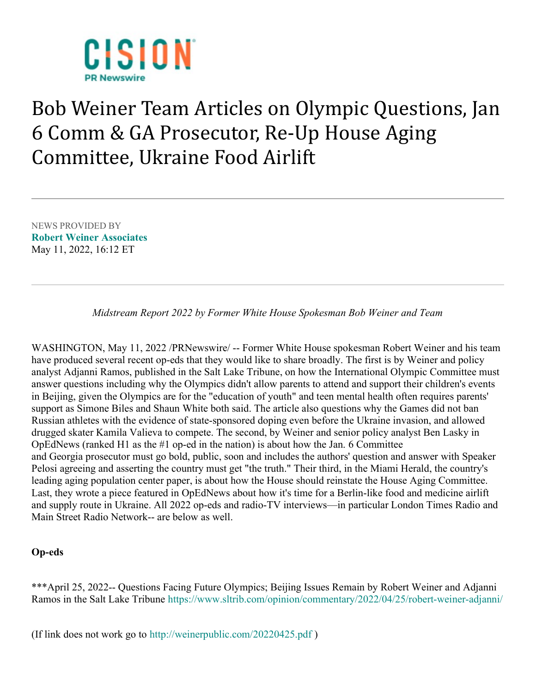

## Bob Weiner Team Articles on Olympic Questions, Jan 6 Comm & GA Prosecutor, Re-Up House Aging Committee, Ukraine Food Airlift

NEWS PROVIDED BY Robert Weiner Associates May 11, 2022, 16:12 ET

Midstream Report 2022 by Former White House Spokesman Bob Weiner and Team

WASHINGTON, May 11, 2022 /PRNewswire/ -- Former White House spokesman Robert Weiner and his team have produced several recent op-eds that they would like to share broadly. The first is by Weiner and policy analyst Adjanni Ramos, published in the Salt Lake Tribune, on how the International Olympic Committee must answer questions including why the Olympics didn't allow parents to attend and support their children's events in Beijing, given the Olympics are for the "education of youth" and teen mental health often requires parents' support as Simone Biles and Shaun White both said. The article also questions why the Games did not ban Russian athletes with the evidence of state-sponsored doping even before the Ukraine invasion, and allowed drugged skater Kamila Valieva to compete. The second, by Weiner and senior policy analyst Ben Lasky in OpEdNews (ranked H1 as the #1 op-ed in the nation) is about how the Jan. 6 Committee and Georgia prosecutor must go bold, public, soon and includes the authors' question and answer with Speaker Pelosi agreeing and asserting the country must get "the truth." Their third, in the Miami Herald, the country's leading aging population center paper, is about how the House should reinstate the House Aging Committee. Last, they wrote a piece featured in OpEdNews about how it's time for a Berlin-like food and medicine airlift and supply route in Ukraine. All 2022 op-eds and radio-TV interviews—in particular London Times Radio and Main Street Radio Network-- are below as well.

## Op-eds

\*\*\*April 25, 2022-- Questions Facing Future Olympics; Beijing Issues Remain by Robert Weiner and Adjanni Ramos in the Salt Lake Tribune https://www.sltrib.com/opinion/commentary/2022/04/25/robert-weiner-adjanni/

(If link does not work go to http://weinerpublic.com/20220425.pdf )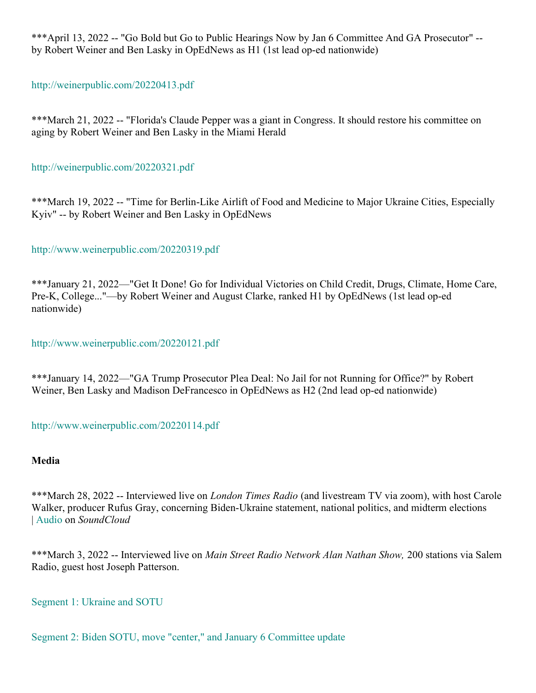\*\*\*April 13, 2022 -- "Go Bold but Go to Public Hearings Now by Jan 6 Committee And GA Prosecutor" - by Robert Weiner and Ben Lasky in OpEdNews as H1 (1st lead op-ed nationwide)

http://weinerpublic.com/20220413.pdf

\*\*\*March 21, 2022 -- "Florida's Claude Pepper was a giant in Congress. It should restore his committee on aging by Robert Weiner and Ben Lasky in the Miami Herald

http://weinerpublic.com/20220321.pdf

\*\*\*March 19, 2022 -- "Time for Berlin-Like Airlift of Food and Medicine to Major Ukraine Cities, Especially Kyiv" -- by Robert Weiner and Ben Lasky in OpEdNews

http://www.weinerpublic.com/20220319.pdf

\*\*\*January 21, 2022—"Get It Done! Go for Individual Victories on Child Credit, Drugs, Climate, Home Care, Pre-K, College..."—by Robert Weiner and August Clarke, ranked H1 by OpEdNews (1st lead op-ed nationwide)

http://www.weinerpublic.com/20220121.pdf

\*\*\*January 14, 2022—"GA Trump Prosecutor Plea Deal: No Jail for not Running for Office?" by Robert Weiner, Ben Lasky and Madison DeFrancesco in OpEdNews as H2 (2nd lead op-ed nationwide)

http://www.weinerpublic.com/20220114.pdf

## Media

\*\*\*March 28, 2022 -- Interviewed live on *London Times Radio* (and livestream TV via zoom), with host Carole Walker, producer Rufus Gray, concerning Biden-Ukraine statement, national politics, and midterm elections | Audio on SoundCloud

\*\*\*March 3, 2022 -- Interviewed live on Main Street Radio Network Alan Nathan Show, 200 stations via Salem Radio, guest host Joseph Patterson.

Segment 1: Ukraine and SOTU

Segment 2: Biden SOTU, move "center," and January 6 Committee update